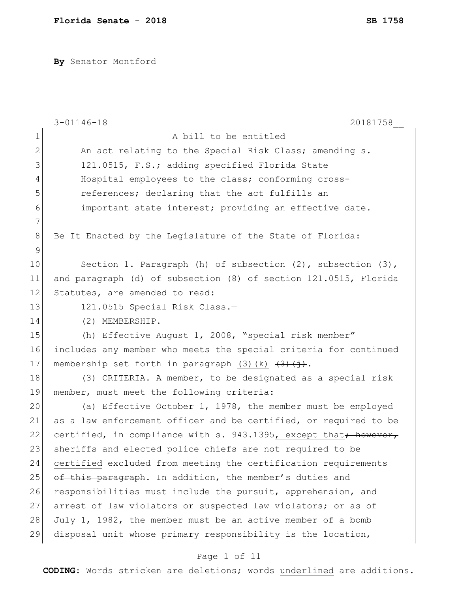**By** Senator Montford

|                | $3 - 01146 - 18$<br>20181758                                                                  |
|----------------|-----------------------------------------------------------------------------------------------|
| $\mathbf 1$    | A bill to be entitled                                                                         |
| $\mathbf{2}$   | An act relating to the Special Risk Class; amending s.                                        |
| 3              | 121.0515, F.S.; adding specified Florida State                                                |
| $\overline{4}$ | Hospital employees to the class; conforming cross-                                            |
| 5              | references; declaring that the act fulfills an                                                |
| 6              | important state interest; providing an effective date.                                        |
| 7              |                                                                                               |
| $8\,$          | Be It Enacted by the Legislature of the State of Florida:                                     |
| $\mathcal{G}$  |                                                                                               |
| 10             | Section 1. Paragraph (h) of subsection $(2)$ , subsection $(3)$ ,                             |
| 11             | and paragraph (d) of subsection (8) of section 121.0515, Florida                              |
| 12             | Statutes, are amended to read:                                                                |
| 13             | 121.0515 Special Risk Class.-                                                                 |
| 14             | $(2)$ MEMBERSHIP.-                                                                            |
| 15             | (h) Effective August 1, 2008, "special risk member"                                           |
| 16             | includes any member who meets the special criteria for continued                              |
| 17             | membership set forth in paragraph (3)(k) $\left(\frac{3}{2}\right)\left(\frac{1}{2}\right)$ . |
| 18             | (3) CRITERIA. - A member, to be designated as a special risk                                  |
| 19             | member, must meet the following criteria:                                                     |
| 20             | (a) Effective October 1, 1978, the member must be employed                                    |
| 21             | as a law enforcement officer and be certified, or required to be                              |
| 22             | certified, in compliance with s. 943.1395, except that; however,                              |
| 23             | sheriffs and elected police chiefs are not required to be                                     |
| 24             | certified excluded from meeting the certification requirements                                |
| 25             | of this paragraph. In addition, the member's duties and                                       |
| 26             | responsibilities must include the pursuit, apprehension, and                                  |
| 27             | arrest of law violators or suspected law violators; or as of                                  |
| 28             | July 1, 1982, the member must be an active member of a bomb                                   |
| 29             | disposal unit whose primary responsibility is the location,                                   |

# Page 1 of 11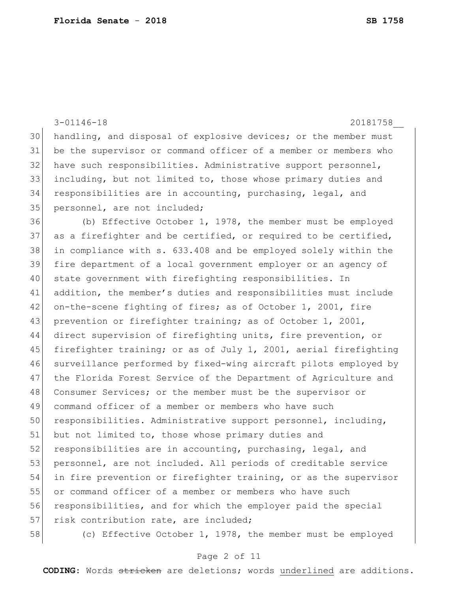|    | $3 - 01146 - 18$<br>20181758                                     |
|----|------------------------------------------------------------------|
| 30 | handling, and disposal of explosive devices; or the member must  |
| 31 | be the supervisor or command officer of a member or members who  |
| 32 | have such responsibilities. Administrative support personnel,    |
| 33 | including, but not limited to, those whose primary duties and    |
| 34 | responsibilities are in accounting, purchasing, legal, and       |
| 35 | personnel, are not included;                                     |
| 36 | (b) Effective October 1, 1978, the member must be employed       |
| 37 | as a firefighter and be certified, or required to be certified,  |
| 38 | in compliance with s. 633.408 and be employed solely within the  |
| 39 | fire department of a local government employer or an agency of   |
| 40 | state government with firefighting responsibilities. In          |
| 41 | addition, the member's duties and responsibilities must include  |
| 42 | on-the-scene fighting of fires; as of October 1, 2001, fire      |
| 43 | prevention or firefighter training; as of October 1, 2001,       |
| 44 | direct supervision of firefighting units, fire prevention, or    |
| 45 | firefighter training; or as of July 1, 2001, aerial firefighting |
| 46 | surveillance performed by fixed-wing aircraft pilots employed by |
| 47 | the Florida Forest Service of the Department of Agriculture and  |
| 48 | Consumer Services; or the member must be the supervisor or       |
| 49 | command officer of a member or members who have such             |
| 50 | responsibilities. Administrative support personnel, including,   |
| 51 | but not limited to, those whose primary duties and               |
| 52 | responsibilities are in accounting, purchasing, legal, and       |
| 53 | personnel, are not included. All periods of creditable service   |
| 54 | in fire prevention or firefighter training, or as the supervisor |
| 55 | or command officer of a member or members who have such          |
| 56 | responsibilities, and for which the employer paid the special    |
| 57 | risk contribution rate, are included;                            |
| 58 | (c) Effective October 1, 1978, the member must be employed       |

# Page 2 of 11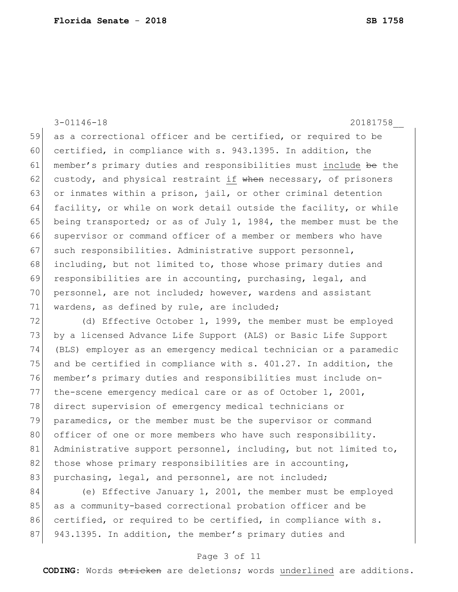3-01146-18 20181758\_\_ 59 as a correctional officer and be certified, or required to be 60 certified, in compliance with s. 943.1395. In addition, the 61 member's primary duties and responsibilities must include be the 62 custody, and physical restraint if when necessary, of prisoners 63 or inmates within a prison, jail, or other criminal detention 64 facility, or while on work detail outside the facility, or while 65 being transported; or as of July 1, 1984, the member must be the 66 supervisor or command officer of a member or members who have 67 such responsibilities. Administrative support personnel, 68 including, but not limited to, those whose primary duties and 69 responsibilities are in accounting, purchasing, legal, and 70 personnel, are not included; however, wardens and assistant 71 wardens, as defined by rule, are included;

72 (d) Effective October 1, 1999, the member must be employed 73 by a licensed Advance Life Support (ALS) or Basic Life Support 74 (BLS) employer as an emergency medical technician or a paramedic 75 and be certified in compliance with  $s. 401.27$ . In addition, the 76 member's primary duties and responsibilities must include on-77 the-scene emergency medical care or as of October 1, 2001, 78 direct supervision of emergency medical technicians or 79 paramedics, or the member must be the supervisor or command 80 officer of one or more members who have such responsibility. 81 Administrative support personnel, including, but not limited to, 82 those whose primary responsibilities are in accounting, 83 purchasing, legal, and personnel, are not included;

84 (e) Effective January 1, 2001, the member must be employed 85 as a community-based correctional probation officer and be 86 certified, or required to be certified, in compliance with s. 87 943.1395. In addition, the member's primary duties and

### Page 3 of 11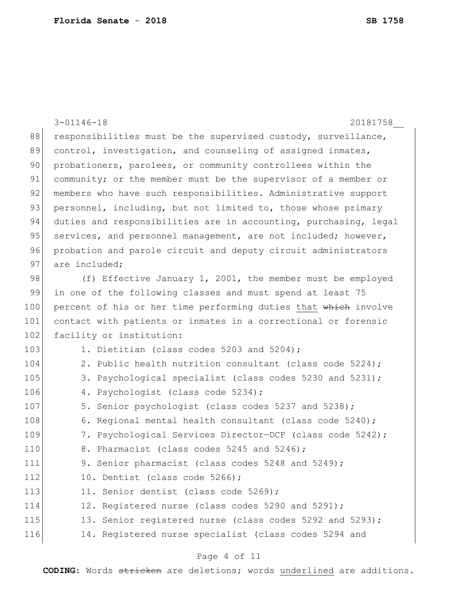|     | $3 - 01146 - 18$<br>20181758                                     |
|-----|------------------------------------------------------------------|
| 88  | responsibilities must be the supervised custody, surveillance,   |
| 89  | control, investigation, and counseling of assigned inmates,      |
| 90  | probationers, parolees, or community controllees within the      |
| 91  | community; or the member must be the supervisor of a member or   |
| 92  | members who have such responsibilities. Administrative support   |
| 93  | personnel, including, but not limited to, those whose primary    |
| 94  | duties and responsibilities are in accounting, purchasing, legal |
| 95  | services, and personnel management, are not included; however,   |
| 96  | probation and parole circuit and deputy circuit administrators   |
| 97  | are included;                                                    |
| 98  | (f) Effective January 1, 2001, the member must be employed       |
| 99  | in one of the following classes and must spend at least 75       |
| 100 | percent of his or her time performing duties that which involve  |
| 101 | contact with patients or inmates in a correctional or forensic   |
| 102 | facility or institution:                                         |
| 103 | 1. Dietitian (class codes 5203 and 5204);                        |
| 104 | 2. Public health nutrition consultant (class code 5224);         |
| 105 | 3. Psychological specialist (class codes 5230 and 5231);         |
| 106 | 4. Psychologist (class code 5234);                               |
| 107 | 5. Senior psychologist (class codes 5237 and 5238);              |
| 108 | 6. Regional mental health consultant (class code 5240);          |
| 109 | 7. Psychological Services Director-DCF (class code 5242);        |
| 110 | 8. Pharmacist (class codes 5245 and 5246);                       |
| 111 | 9. Senior pharmacist (class codes 5248 and 5249);                |
| 112 | 10. Dentist (class code 5266);                                   |
| 113 | 11. Senior dentist (class code 5269);                            |
| 114 | 12. Registered nurse (class codes 5290 and 5291);                |
| 115 | 13. Senior registered nurse (class codes 5292 and 5293);         |
| 116 | 14. Registered nurse specialist (class codes 5294 and            |

# Page 4 of 11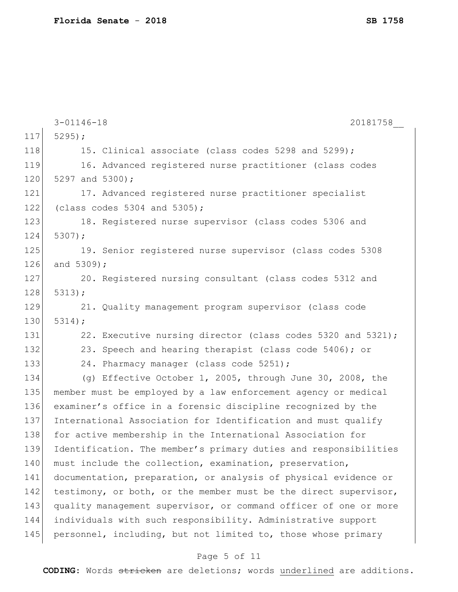|     | $3 - 01146 - 18$<br>20181758                                     |
|-----|------------------------------------------------------------------|
| 117 | $5295$ ;                                                         |
| 118 | 15. Clinical associate (class codes 5298 and 5299);              |
| 119 | 16. Advanced registered nurse practitioner (class codes          |
| 120 | 5297 and 5300);                                                  |
| 121 | 17. Advanced registered nurse practitioner specialist            |
| 122 | (class codes $5304$ and $5305$ );                                |
| 123 | 18. Registered nurse supervisor (class codes 5306 and            |
| 124 | $5307$ );                                                        |
| 125 | 19. Senior registered nurse supervisor (class codes 5308         |
| 126 | and 5309);                                                       |
| 127 | 20. Registered nursing consultant (class codes 5312 and          |
| 128 | 5313;                                                            |
| 129 | 21. Quality management program supervisor (class code            |
| 130 | 5314;                                                            |
| 131 | 22. Executive nursing director (class codes 5320 and 5321);      |
| 132 | 23. Speech and hearing therapist (class code 5406); or           |
| 133 | 24. Pharmacy manager (class code 5251);                          |
| 134 | (g) Effective October 1, 2005, through June 30, 2008, the        |
| 135 | member must be employed by a law enforcement agency or medical   |
| 136 | examiner's office in a forensic discipline recognized by the     |
| 137 | International Association for Identification and must qualify    |
| 138 | for active membership in the International Association for       |
| 139 | Identification. The member's primary duties and responsibilities |
| 140 | must include the collection, examination, preservation,          |
| 141 | documentation, preparation, or analysis of physical evidence or  |
| 142 | testimony, or both, or the member must be the direct supervisor, |
| 143 | quality management supervisor, or command officer of one or more |
| 144 | individuals with such responsibility. Administrative support     |
| 145 | personnel, including, but not limited to, those whose primary    |
|     |                                                                  |

# Page 5 of 11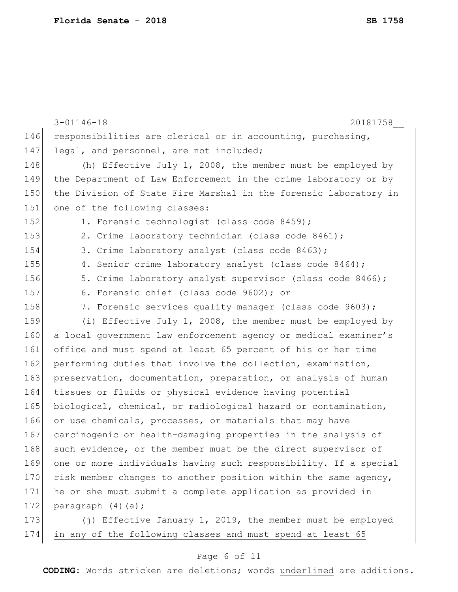|     | $3 - 01146 - 18$<br>20181758                                     |
|-----|------------------------------------------------------------------|
| 146 | responsibilities are clerical or in accounting, purchasing,      |
| 147 | legal, and personnel, are not included;                          |
| 148 | (h) Effective July 1, 2008, the member must be employed by       |
| 149 | the Department of Law Enforcement in the crime laboratory or by  |
| 150 | the Division of State Fire Marshal in the forensic laboratory in |
| 151 | one of the following classes:                                    |
| 152 | 1. Forensic technologist (class code 8459);                      |
| 153 | 2. Crime laboratory technician (class code 8461);                |
| 154 | 3. Crime laboratory analyst (class code 8463);                   |
| 155 | 4. Senior crime laboratory analyst (class code 8464);            |
| 156 | 5. Crime laboratory analyst supervisor (class code 8466);        |
| 157 | 6. Forensic chief (class code 9602); or                          |
| 158 | 7. Forensic services quality manager (class code 9603);          |
| 159 | (i) Effective July 1, 2008, the member must be employed by       |
| 160 | a local government law enforcement agency or medical examiner's  |
| 161 | office and must spend at least 65 percent of his or her time     |
| 162 | performing duties that involve the collection, examination,      |
| 163 | preservation, documentation, preparation, or analysis of human   |
| 164 | tissues or fluids or physical evidence having potential          |
| 165 | biological, chemical, or radiological hazard or contamination,   |
| 166 | or use chemicals, processes, or materials that may have          |
| 167 | carcinogenic or health-damaging properties in the analysis of    |
| 168 | such evidence, or the member must be the direct supervisor of    |
| 169 | one or more individuals having such responsibility. If a special |
| 170 | risk member changes to another position within the same agency,  |
| 171 | he or she must submit a complete application as provided in      |
| 172 | paragraph $(4)$ $(a)$ ;                                          |
| 173 | (j) Effective January 1, 2019, the member must be employed       |
| 174 | in any of the following classes and must spend at least 65       |

# Page 6 of 11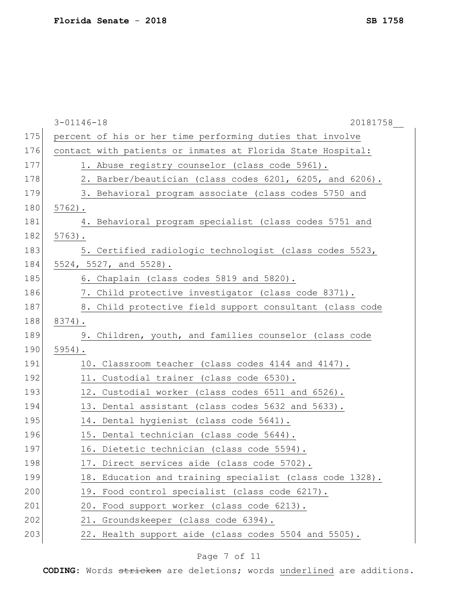|     | $3 - 01146 - 18$<br>20181758                                |
|-----|-------------------------------------------------------------|
| 175 | percent of his or her time performing duties that involve   |
| 176 | contact with patients or inmates at Florida State Hospital: |
| 177 | 1. Abuse registry counselor (class code 5961).              |
| 178 | 2. Barber/beautician (class codes 6201, 6205, and 6206).    |
| 179 | 3. Behavioral program associate (class codes 5750 and       |
| 180 | $5762$ ).                                                   |
| 181 | 4. Behavioral program specialist (class codes 5751 and      |
| 182 | $5763$ .                                                    |
| 183 | 5. Certified radiologic technologist (class codes 5523,     |
| 184 | 5524, 5527, and 5528).                                      |
| 185 | 6. Chaplain (class codes 5819 and 5820).                    |
| 186 | 7. Child protective investigator (class code 8371).         |
| 187 | 8. Child protective field support consultant (class code    |
| 188 | 8374).                                                      |
| 189 | 9. Children, youth, and families counselor (class code      |
| 190 | $5954$ ).                                                   |
| 191 | 10. Classroom teacher (class codes 4144 and 4147).          |
| 192 | 11. Custodial trainer (class code 6530).                    |
| 193 | 12. Custodial worker (class codes 6511 and 6526).           |
| 194 | 13. Dental assistant (class codes 5632 and 5633).           |
| 195 | 14. Dental hygienist (class code 5641).                     |
| 196 | 15. Dental technician (class code 5644).                    |
| 197 | 16. Dietetic technician (class code 5594).                  |
| 198 | 17. Direct services aide (class code 5702).                 |
| 199 | 18. Education and training specialist (class code 1328).    |
| 200 | 19. Food control specialist (class code 6217).              |
| 201 | 20. Food support worker (class code 6213).                  |
| 202 | 21. Groundskeeper (class code 6394).                        |
| 203 | 22. Health support aide (class codes 5504 and 5505).        |

# Page 7 of 11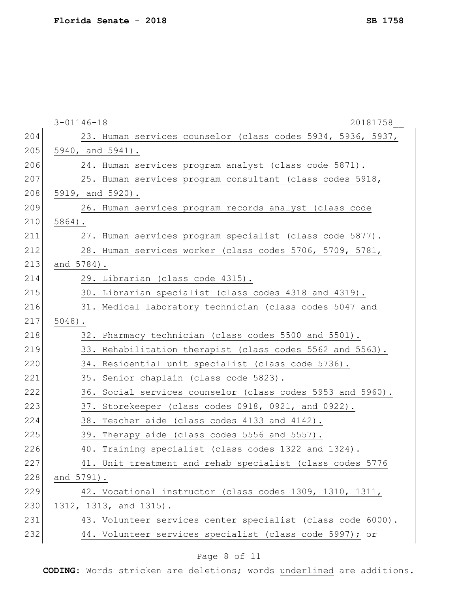|     | $3 - 01146 - 18$<br>20181758                                |
|-----|-------------------------------------------------------------|
| 204 | 23. Human services counselor (class codes 5934, 5936, 5937, |
| 205 | 5940, and 5941).                                            |
| 206 | 24. Human services program analyst (class code 5871).       |
| 207 | 25. Human services program consultant (class codes 5918,    |
| 208 | 5919, and 5920).                                            |
| 209 | 26. Human services program records analyst (class code      |
| 210 | $5864$ ).                                                   |
| 211 | 27. Human services program specialist (class code 5877).    |
| 212 | 28. Human services worker (class codes 5706, 5709, 5781,    |
| 213 | and 5784).                                                  |
| 214 | 29. Librarian (class code 4315).                            |
| 215 | 30. Librarian specialist (class codes 4318 and 4319).       |
| 216 | 31. Medical laboratory technician (class codes 5047 and     |
| 217 | $5048$ ).                                                   |
| 218 | 32. Pharmacy technician (class codes 5500 and 5501).        |
| 219 | 33. Rehabilitation therapist (class codes 5562 and 5563).   |
| 220 | 34. Residential unit specialist (class code 5736).          |
| 221 | 35. Senior chaplain (class code 5823).                      |
| 222 | 36. Social services counselor (class codes 5953 and 5960).  |
| 223 | 37. Storekeeper (class codes 0918, 0921, and 0922).         |
| 224 | 38. Teacher aide (class codes 4133 and 4142).               |
| 225 | 39. Therapy aide (class codes 5556 and 5557).               |
| 226 | 40. Training specialist (class codes 1322 and 1324).        |
| 227 | 41. Unit treatment and rehab specialist (class codes 5776   |
| 228 | and 5791).                                                  |
| 229 | 42. Vocational instructor (class codes 1309, 1310, 1311,    |
| 230 | 1312, 1313, and 1315).                                      |
| 231 | 43. Volunteer services center specialist (class code 6000). |
| 232 | 44. Volunteer services specialist (class code 5997); or     |
|     |                                                             |

# Page 8 of 11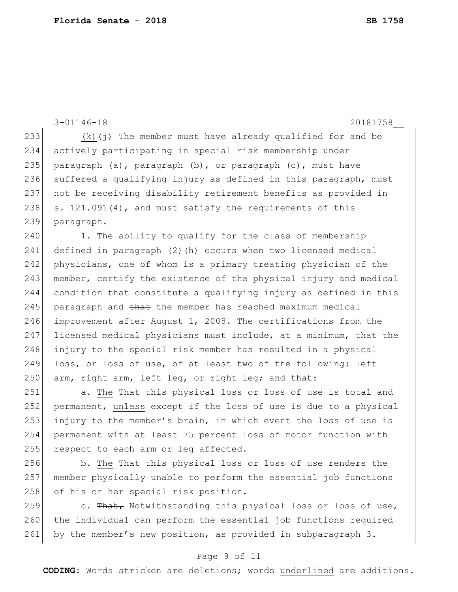3-01146-18 20181758\_\_ 233 (k) $\left(\frac{1}{2}\right)$  The member must have already qualified for and be 234 actively participating in special risk membership under 235 paragraph (a), paragraph  $(b)$ , or paragraph (c), must have 236 suffered a qualifying injury as defined in this paragraph, must 237 not be receiving disability retirement benefits as provided in 238 s. 121.091(4), and must satisfy the requirements of this 239 paragraph. 240 1. The ability to qualify for the class of membership 241 defined in paragraph (2)(h) occurs when two licensed medical 242 physicians, one of whom is a primary treating physician of the 243 member, certify the existence of the physical injury and medical 244 condition that constitute a qualifying injury as defined in this 245 | paragraph and that the member has reached maximum medical 246 improvement after August 1, 2008. The certifications from the 247 licensed medical physicians must include, at a minimum, that the 248 injury to the special risk member has resulted in a physical 249 loss, or loss of use, of at least two of the following: left 250  $\vert$  arm, right arm, left leg, or right leg; and that: 251 a. The That this physical loss or loss of use is total and

252 permanent, unless  $\frac{1}{252}$  and  $\frac{1}{252}$  be loss of use is due to a physical 253 injury to the member's brain, in which event the loss of use is 254 permanent with at least 75 percent loss of motor function with 255 respect to each arm or leg affected.

256 b. The That this physical loss or loss of use renders the 257 member physically unable to perform the essential job functions 258 of his or her special risk position.

259 c. That, Notwithstanding this physical loss or loss of use, 260 the individual can perform the essential job functions required 261 by the member's new position, as provided in subparagraph 3.

### Page 9 of 11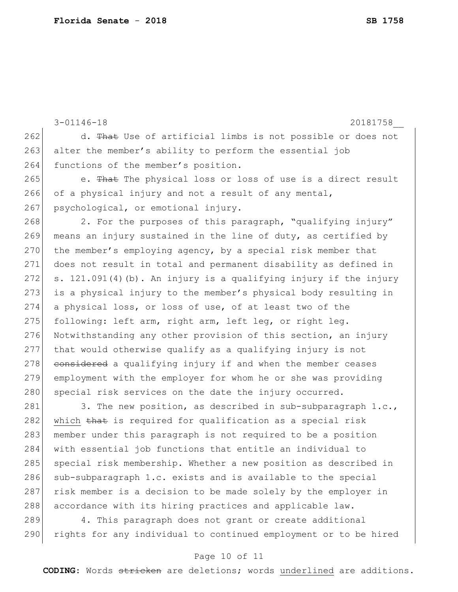```
3-01146-18 20181758__
262 d. That Use of artificial limbs is not possible or does not
263 alter the member's ability to perform the essential job
264 functions of the member's position.
265 e. That The physical loss or loss of use is a direct result
266 of a physical injury and not a result of any mental,
267 psychological, or emotional injury.
268 2. For the purposes of this paragraph, "qualifying injury"
269 means an injury sustained in the line of duty, as certified by 
270 the member's employing agency, by a special risk member that
271 does not result in total and permanent disability as defined in 
272 s. 121.091(4)(b). An injury is a qualifying injury if the injury 
273 is a physical injury to the member's physical body resulting in
274 a physical loss, or loss of use, of at least two of the 
275 following: left arm, right arm, left leg, or right leg.
276 Notwithstanding any other provision of this section, an injury
277 that would otherwise qualify as a qualifying injury is not 
278 considered a qualifying injury if and when the member ceases
279 employment with the employer for whom he or she was providing
280 special risk services on the date the injury occurred.
281 3. The new position, as described in sub-subparagraph 1.c.,
282 which that is required for qualification as a special risk
283 member under this paragraph is not required to be a position
284 with essential job functions that entitle an individual to 
285 special risk membership. Whether a new position as described in
286 sub-subparagraph 1.c. exists and is available to the special
287 risk member is a decision to be made solely by the employer in
```
289 4. This paragraph does not grant or create additional 290 rights for any individual to continued employment or to be hired

288 accordance with its hiring practices and applicable law.

### Page 10 of 11